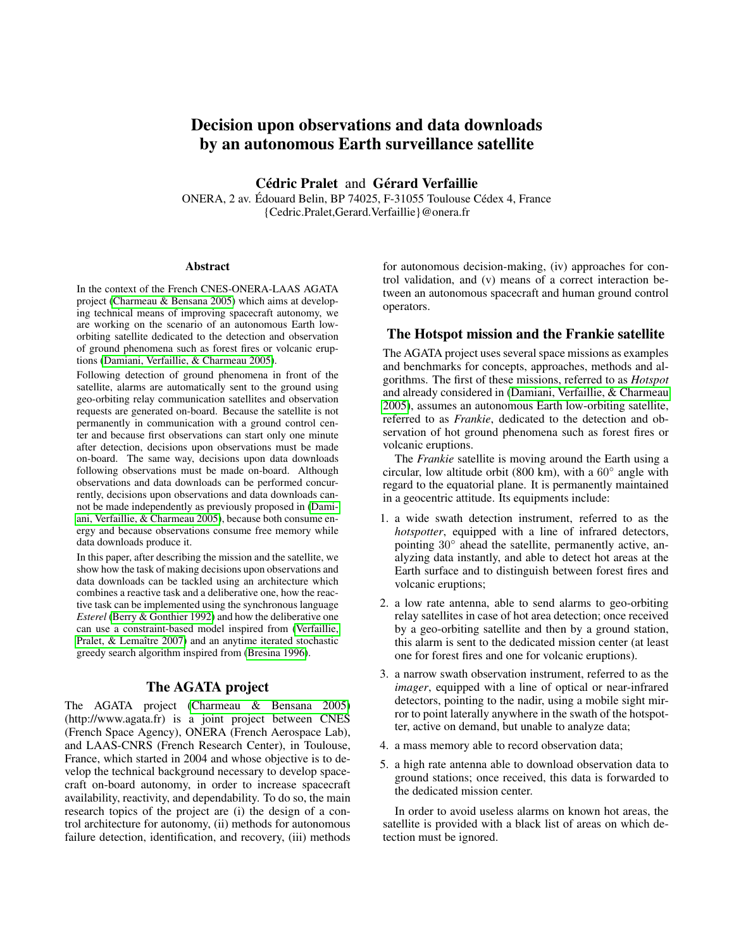# Decision upon observations and data downloads by an autonomous Earth surveillance satellite

Cédric Pralet and Gérard Verfaillie

ONERA, 2 av. Édouard Belin, BP 74025, F-31055 Toulouse Cédex 4, France {Cedric.Pralet,Gerard.Verfaillie}@onera.fr

#### Abstract

In the context of the French CNES-ONERA-LAAS AGATA project [\(Charmeau & Bensana 2005\)](#page-7-0) which aims at developing technical means of improving spacecraft autonomy, we are working on the scenario of an autonomous Earth loworbiting satellite dedicated to the detection and observation of ground phenomena such as forest fires or volcanic eruptions [\(Damiani, Verfaillie, & Charmeau 2005\)](#page-7-1).

Following detection of ground phenomena in front of the satellite, alarms are automatically sent to the ground using geo-orbiting relay communication satellites and observation requests are generated on-board. Because the satellite is not permanently in communication with a ground control center and because first observations can start only one minute after detection, decisions upon observations must be made on-board. The same way, decisions upon data downloads following observations must be made on-board. Although observations and data downloads can be performed concurrently, decisions upon observations and data downloads cannot be made independently as previously proposed in [\(Dami](#page-7-1)[ani, Verfaillie, & Charmeau 2005\)](#page-7-1), because both consume energy and because observations consume free memory while data downloads produce it.

In this paper, after describing the mission and the satellite, we show how the task of making decisions upon observations and data downloads can be tackled using an architecture which combines a reactive task and a deliberative one, how the reactive task can be implemented using the synchronous language *Esterel* [\(Berry & Gonthier 1992\)](#page-7-2) and how the deliberative one can use a constraint-based model inspired from [\(Verfaillie,](#page-7-3) [Pralet, & Lemaître 2007\)](#page-7-3) and an anytime iterated stochastic greedy search algorithm inspired from [\(Bresina 1996\)](#page-7-4).

## The AGATA project

The AGATA project [\(Charmeau & Bensana 2005\)](#page-7-0) (http://www.agata.fr) is a joint project between CNES (French Space Agency), ONERA (French Aerospace Lab), and LAAS-CNRS (French Research Center), in Toulouse, France, which started in 2004 and whose objective is to develop the technical background necessary to develop spacecraft on-board autonomy, in order to increase spacecraft availability, reactivity, and dependability. To do so, the main research topics of the project are (i) the design of a control architecture for autonomy, (ii) methods for autonomous failure detection, identification, and recovery, (iii) methods

for autonomous decision-making, (iv) approaches for control validation, and (v) means of a correct interaction between an autonomous spacecraft and human ground control operators.

## The Hotspot mission and the Frankie satellite

The AGATA project uses several space missions as examples and benchmarks for concepts, approaches, methods and algorithms. The first of these missions, referred to as *Hotspot* and already considered in [\(Damiani, Verfaillie, & Charmeau](#page-7-1) [2005\)](#page-7-1), assumes an autonomous Earth low-orbiting satellite, referred to as *Frankie*, dedicated to the detection and observation of hot ground phenomena such as forest fires or volcanic eruptions.

The *Frankie* satellite is moving around the Earth using a circular, low altitude orbit (800 km), with a  $60^\circ$  angle with regard to the equatorial plane. It is permanently maintained in a geocentric attitude. Its equipments include:

- 1. a wide swath detection instrument, referred to as the *hotspotter*, equipped with a line of infrared detectors, pointing 30° ahead the satellite, permanently active, analyzing data instantly, and able to detect hot areas at the Earth surface and to distinguish between forest fires and volcanic eruptions;
- 2. a low rate antenna, able to send alarms to geo-orbiting relay satellites in case of hot area detection; once received by a geo-orbiting satellite and then by a ground station, this alarm is sent to the dedicated mission center (at least one for forest fires and one for volcanic eruptions).
- 3. a narrow swath observation instrument, referred to as the *imager*, equipped with a line of optical or near-infrared detectors, pointing to the nadir, using a mobile sight mirror to point laterally anywhere in the swath of the hotspotter, active on demand, but unable to analyze data;
- 4. a mass memory able to record observation data;
- 5. a high rate antenna able to download observation data to ground stations; once received, this data is forwarded to the dedicated mission center.

In order to avoid useless alarms on known hot areas, the satellite is provided with a black list of areas on which detection must be ignored.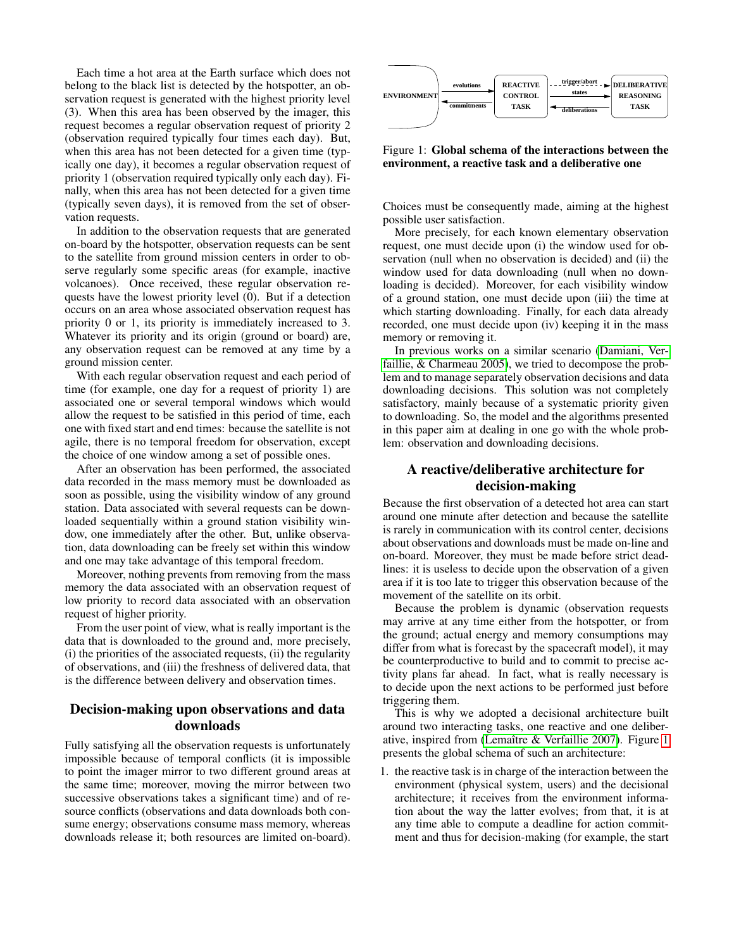Each time a hot area at the Earth surface which does not belong to the black list is detected by the hotspotter, an observation request is generated with the highest priority level (3). When this area has been observed by the imager, this request becomes a regular observation request of priority 2 (observation required typically four times each day). But, when this area has not been detected for a given time (typically one day), it becomes a regular observation request of priority 1 (observation required typically only each day). Finally, when this area has not been detected for a given time (typically seven days), it is removed from the set of observation requests.

In addition to the observation requests that are generated on-board by the hotspotter, observation requests can be sent to the satellite from ground mission centers in order to observe regularly some specific areas (for example, inactive volcanoes). Once received, these regular observation requests have the lowest priority level (0). But if a detection occurs on an area whose associated observation request has priority 0 or 1, its priority is immediately increased to 3. Whatever its priority and its origin (ground or board) are, any observation request can be removed at any time by a ground mission center. Evente the spectross of the median state of the control of the spectral on-board on-board in the spectral of the spectral on-board in the spectral of the spectral on-board in the spectral on-board in the spectral of the s

With each regular observation request and each period of time (for example, one day for a request of priority 1) are associated one or several temporal windows which would allow the request to be satisfied in this period of time, each one with fixed start and end times: because the satellite is not agile, there is no temporal freedom for observation, except the choice of one window among a set of possible ones.

After an observation has been performed, the associated data recorded in the mass memory must be downloaded as soon as possible, using the visibility window of any ground station. Data associated with several requests can be downloaded sequentially within a ground station visibility window, one immediately after the other. But, unlike observation, data downloading can be freely set within this window and one may take advantage of this temporal freedom.

Moreover, nothing prevents from removing from the mass memory the data associated with an observation request of low priority to record data associated with an observation request of higher priority.

From the user point of view, what is really important is the data that is downloaded to the ground and, more precisely, (i) the priorities of the associated requests, (ii) the regularity of observations, and (iii) the freshness of delivered data, that is the difference between delivery and observation times.

# Decision-making upon observations and data downloads

Fully satisfying all the observation requests is unfortunately impossible because of temporal conflicts (it is impossible to point the imager mirror to two different ground areas at the same time; moreover, moving the mirror between two successive observations takes a significant time) and of resource conflicts (observations and data downloads both consume energy; observations consume mass memory, whereas



<span id="page-1-0"></span>Figure 1: Global schema of the interactions between the environment, a reactive task and a deliberative one

Choices must be consequently made, aiming at the highest possible user satisfaction.

More precisely, for each known elementary observation request, one must decide upon (i) the window used for observation (null when no observation is decided) and (ii) the window used for data downloading (null when no downloading is decided). Moreover, for each visibility window of a ground station, one must decide upon (iii) the time at which starting downloading. Finally, for each data already recorded, one must decide upon (iv) keeping it in the mass memory or removing it.

In previous works on a similar scenario [\(Damiani, Ver](#page-7-1)[faillie, & Charmeau 2005\)](#page-7-1), we tried to decompose the problem and to manage separately observation decisions and data downloading decisions. This solution was not completely satisfactory, mainly because of a systematic priority given to downloading. So, the model and the algorithms presented in this paper aim at dealing in one go with the whole problem: observation and downloading decisions.

# A reactive/deliberative architecture for decision-making

Because the first observation of a detected hot area can start around one minute after detection and because the satellite is rarely in communication with its control center, decisions about observations and downloads must be made on-line and on-board. Moreover, they must be made before strict deadlines: it is useless to decide upon the observation of a given area if it is too late to trigger this observation because of the movement of the satellite on its orbit.

Because the problem is dynamic (observation requests may arrive at any time either from the hotspotter, or from the ground; actual energy and memory consumptions may differ from what is forecast by the spacecraft model), it may be counterproductive to build and to commit to precise activity plans far ahead. In fact, what is really necessary is to decide upon the next actions to be performed just before triggering them.

This is why we adopted a decisional architecture built around two interacting tasks, one reactive and one deliberative, inspired from [\(Lemaître & Verfaillie 2007\)](#page-7-5). Figure [1](#page-1-0) presents the global schema of such an architecture:

1. the reactive task is in charge of the interaction between the environment (physical system, users) and the decisional architecture; it receives from the environment information about the way the latter evolves; from that, it is at any time able to compute a deadline for action commitment and thus for decision-making (for example, the start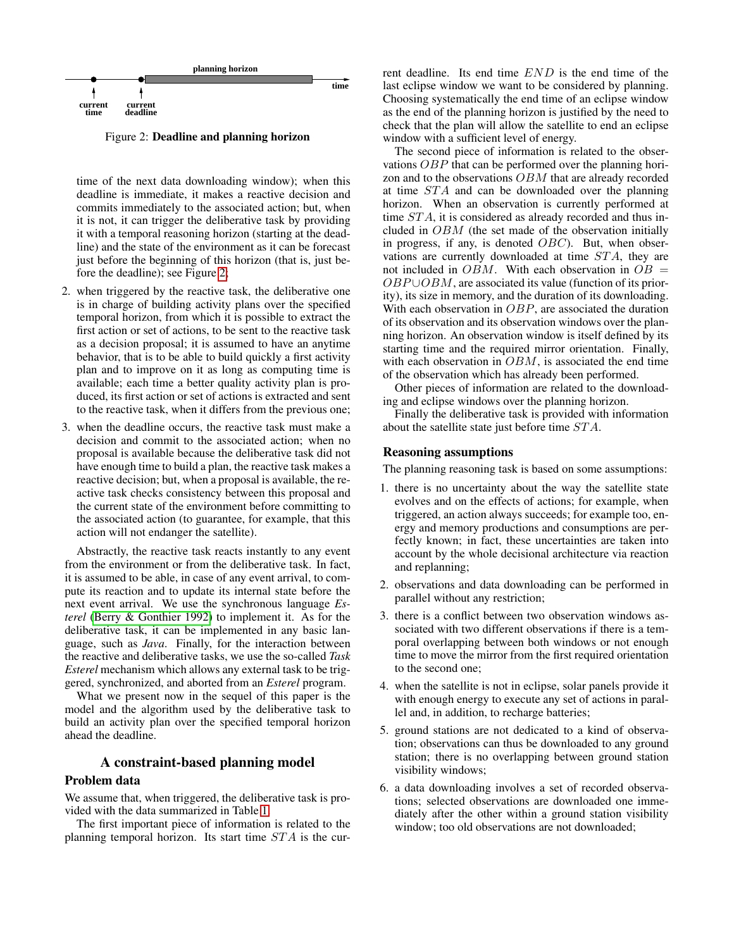

<span id="page-2-0"></span>Figure 2: Deadline and planning horizon

time of the next data downloading window); when this deadline is immediate, it makes a reactive decision and commits immediately to the associated action; but, when it is not, it can trigger the deliberative task by providing it with a temporal reasoning horizon (starting at the deadline) and the state of the environment as it can be forecast just before the beginning of this horizon (that is, just before the deadline); see Figure [2;](#page-2-0)

- 2. when triggered by the reactive task, the deliberative one is in charge of building activity plans over the specified temporal horizon, from which it is possible to extract the first action or set of actions, to be sent to the reactive task as a decision proposal; it is assumed to have an anytime behavior, that is to be able to build quickly a first activity plan and to improve on it as long as computing time is available; each time a better quality activity plan is produced, its first action or set of actions is extracted and sent to the reactive task, when it differs from the previous one;
- 3. when the deadline occurs, the reactive task must make a decision and commit to the associated action; when no proposal is available because the deliberative task did not have enough time to build a plan, the reactive task makes a reactive decision; but, when a proposal is available, the reactive task checks consistency between this proposal and the current state of the environment before committing to the associated action (to guarantee, for example, that this action will not endanger the satellite).

Abstractly, the reactive task reacts instantly to any event from the environment or from the deliberative task. In fact, it is assumed to be able, in case of any event arrival, to compute its reaction and to update its internal state before the next event arrival. We use the synchronous language *Esterel* [\(Berry & Gonthier 1992\)](#page-7-2) to implement it. As for the deliberative task, it can be implemented in any basic language, such as *Java*. Finally, for the interaction between the reactive and deliberative tasks, we use the so-called *Task Esterel* mechanism which allows any external task to be triggered, synchronized, and aborted from an *Esterel* program.

What we present now in the sequel of this paper is the model and the algorithm used by the deliberative task to build an activity plan over the specified temporal horizon ahead the deadline.

### A constraint-based planning model

### Problem data

We assume that, when triggered, the deliberative task is provided with the data summarized in Table [1.](#page-3-0)

The first important piece of information is related to the planning temporal horizon. Its start time  $STA$  is the current deadline. Its end time END is the end time of the last eclipse window we want to be considered by planning. Choosing systematically the end time of an eclipse window as the end of the planning horizon is justified by the need to check that the plan will allow the satellite to end an eclipse window with a sufficient level of energy.

The second piece of information is related to the observations OBP that can be performed over the planning horizon and to the observations OBM that are already recorded at time STA and can be downloaded over the planning horizon. When an observation is currently performed at time STA, it is considered as already recorded and thus included in  $OBM$  (the set made of the observation initially in progress, if any, is denoted  $OBC$ ). But, when observations are currently downloaded at time  $STA$ , they are not included in  $OBM$ . With each observation in  $OB =$  $OBP \cup OBM$ , are associated its value (function of its priority), its size in memory, and the duration of its downloading. With each observation in OBP, are associated the duration of its observation and its observation windows over the planning horizon. An observation window is itself defined by its starting time and the required mirror orientation. Finally, with each observation in  $OBM$ , is associated the end time of the observation which has already been performed.

Other pieces of information are related to the downloading and eclipse windows over the planning horizon.

Finally the deliberative task is provided with information about the satellite state just before time ST A.

### Reasoning assumptions

The planning reasoning task is based on some assumptions:

- 1. there is no uncertainty about the way the satellite state evolves and on the effects of actions; for example, when triggered, an action always succeeds; for example too, energy and memory productions and consumptions are perfectly known; in fact, these uncertainties are taken into account by the whole decisional architecture via reaction and replanning;
- 2. observations and data downloading can be performed in parallel without any restriction;
- 3. there is a conflict between two observation windows associated with two different observations if there is a temporal overlapping between both windows or not enough time to move the mirror from the first required orientation to the second one;
- 4. when the satellite is not in eclipse, solar panels provide it with enough energy to execute any set of actions in parallel and, in addition, to recharge batteries;
- 5. ground stations are not dedicated to a kind of observation; observations can thus be downloaded to any ground station; there is no overlapping between ground station visibility windows;
- 6. a data downloading involves a set of recorded observations; selected observations are downloaded one immediately after the other within a ground station visibility window; too old observations are not downloaded;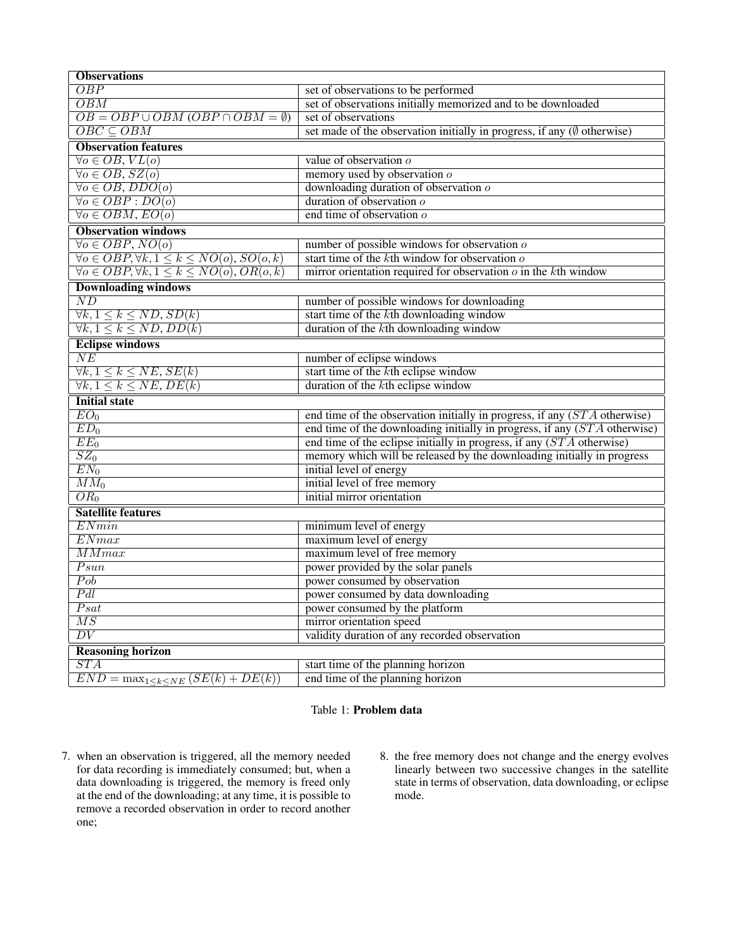| <b>Observations</b>                                                  |                                                                                   |  |
|----------------------------------------------------------------------|-----------------------------------------------------------------------------------|--|
| <i>OBP</i>                                                           | set of observations to be performed                                               |  |
| OBM                                                                  | set of observations initially memorized and to be downloaded                      |  |
| $\overline{OB} = \overline{OBP \cup OBM (OBP \cap OBM = \emptyset)}$ | set of observations                                                               |  |
| $\overline{OBC} \subseteq \overline{OBM}$                            | set made of the observation initially in progress, if any $(\emptyset$ otherwise) |  |
| <b>Observation features</b>                                          |                                                                                   |  |
| $\forall o \in OB, VL(o)$                                            | value of observation $o$                                                          |  |
| $\forall o \in OB$ , $SZ(o)$                                         | memory used by observation o                                                      |  |
| $\forall o \in OB$ , $DDO(o)$                                        | downloading duration of observation $o$                                           |  |
| $\forall o \in OBP : DO(o)$                                          | duration of observation $o$                                                       |  |
| $\forall o \in OBM, EO(o)$                                           | end time of observation $\overline{o}$                                            |  |
| <b>Observation windows</b>                                           |                                                                                   |  |
| $\forall o \in OBP, NO(o)$                                           | number of possible windows for observation $o$                                    |  |
| $\forall o \in OBP, \forall k, 1 \leq k \leq NO(o), SO(o, k)$        | start time of the $k$ th window for observation $o$                               |  |
| $\forall o \in OBP, \forall k, 1 \leq k \leq NO(o), OR(o, k)$        | mirror orientation required for observation $o$ in the $k$ th window              |  |
| <b>Downloading windows</b>                                           |                                                                                   |  |
| $\overline{ND}$                                                      | number of possible windows for downloading                                        |  |
| $\overline{\forall k, 1 \leq k \leq ND$ , $SD(k)$                    | start time of the kth downloading window                                          |  |
| $\forall k, 1 \leq k \leq ND$ , $\overrightarrow{DD(k)}$             | duration of the $k$ th downloading window                                         |  |
| <b>Eclipse windows</b>                                               |                                                                                   |  |
| NE                                                                   | number of eclipse windows                                                         |  |
| $\overline{\forall k, 1 \leq k \leq NE, SE(k)}$                      | start time of the kth eclipse window                                              |  |
| $\forall k, 1 \leq k \leq NE, DE(k)$                                 | duration of the kth eclipse window                                                |  |
| <b>Initial state</b>                                                 |                                                                                   |  |
| $EO_{0}$                                                             | end time of the observation initially in progress, if any $(STA$ otherwise)       |  |
| $ED_0$                                                               | end time of the downloading initially in progress, if any $(STA$ otherwise)       |  |
| $EE_0$                                                               | end time of the eclipse initially in progress, if any $(STA$ otherwise)           |  |
| $\overline{SZ_0}$                                                    | memory which will be released by the downloading initially in progress            |  |
| $EN_0$                                                               | initial level of energy                                                           |  |
| $\overline{MM_0}$                                                    | initial level of free memory                                                      |  |
| $\overline{OR_0}$                                                    | initial mirror orientation                                                        |  |
| <b>Satellite features</b>                                            |                                                                                   |  |
| ENmin                                                                | minimum level of energy                                                           |  |
| ENmax                                                                | maximum level of energy                                                           |  |
| MMmax                                                                | maximum level of free memory                                                      |  |
| Psun                                                                 | power provided by the solar panels                                                |  |
| $\overline{Pob}$                                                     | power consumed by observation                                                     |  |
| Pdl                                                                  | power consumed by data downloading                                                |  |
| $\overline{Psat}$                                                    | power consumed by the platform                                                    |  |
| $\overline{MS}$                                                      | mirror orientation speed                                                          |  |
| $\overline{DV}$                                                      | validity duration of any recorded observation                                     |  |
| <b>Reasoning horizon</b>                                             |                                                                                   |  |
| STA                                                                  | start time of the planning horizon                                                |  |
| $END = \max_{1 \leq k \leq NE} (SE(k) + DE(k))$                      | end time of the planning horizon                                                  |  |

## <span id="page-3-0"></span>Table 1: Problem data

- 7. when an observation is triggered, all the memory needed for data recording is immediately consumed; but, when a data downloading is triggered, the memory is freed only at the end of the downloading; at any time, it is possible to remove a recorded observation in order to record another one;
- 8. the free memory does not change and the energy evolves linearly between two successive changes in the satellite state in terms of observation, data downloading, or eclipse mode.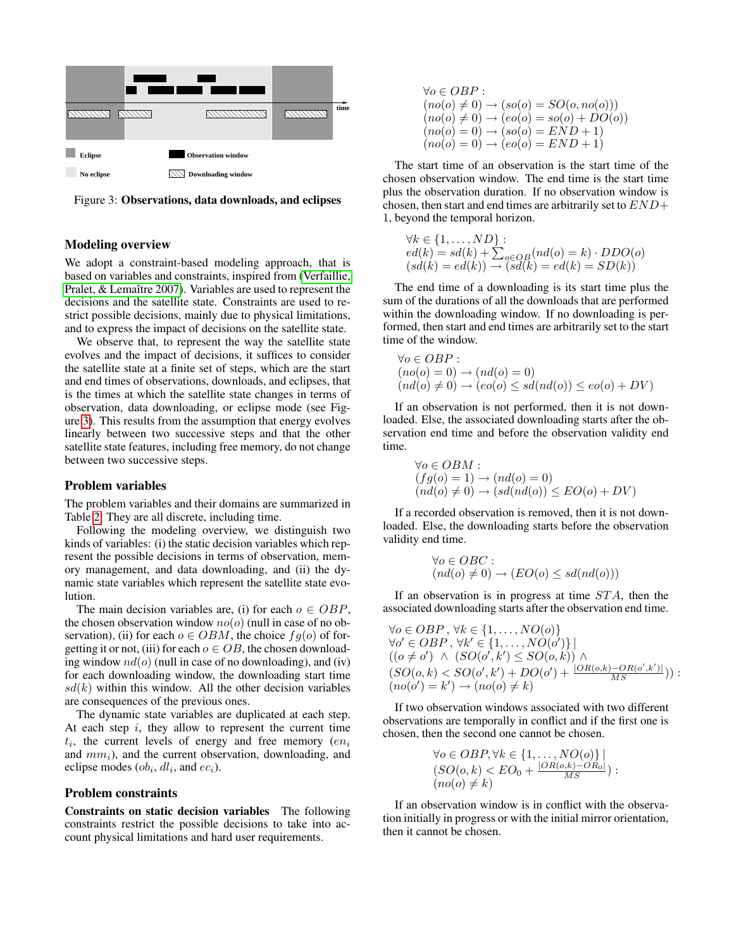

<span id="page-4-0"></span>Figure 3: Observations, data downloads, and eclipses

## Modeling overview

We adopt a constraint-based modeling approach, that is based on variables and constraints, inspired from [\(Verfaillie,](#page-7-3) [Pralet, & Lemaître 2007\)](#page-7-3). Variables are used to represent the decisions and the satellite state. Constraints are used to restrict possible decisions, mainly due to physical limitations, and to express the impact of decisions on the satellite state.

We observe that, to represent the way the satellite state evolves and the impact of decisions, it suffices to consider the satellite state at a finite set of steps, which are the start and end times of observations, downloads, and eclipses, that is the times at which the satellite state changes in terms of observation, data downloading, or eclipse mode (see Figure [3\)](#page-4-0). This results from the assumption that energy evolves linearly between two successive steps and that the other satellite state features, including free memory, do not change between two successive steps.

#### Problem variables

The problem variables and their domains are summarized in Table [2.](#page-5-0) They are all discrete, including time.

Following the modeling overview, we distinguish two kinds of variables: (i) the static decision variables which represent the possible decisions in terms of observation, memory management, and data downloading, and (ii) the dynamic state variables which represent the satellite state evolution.

The main decision variables are, (i) for each  $o \in OBP$ , the chosen observation window  $no(o)$  (null in case of no observation), (ii) for each  $o \in OBM$ , the choice  $fg(o)$  of forgetting it or not, (iii) for each  $o \in OB$ , the chosen downloading window  $nd(o)$  (null in case of no downloading), and (iv) for each downloading window, the downloading start time  $sd(k)$  within this window. All the other decision variables are consequences of the previous ones.

The dynamic state variables are duplicated at each step. At each step  $i$ , they allow to represent the current time  $t_i$ , the current levels of energy and free memory  $(en_i]$ and  $mm<sub>i</sub>$ ), and the current observation, downloading, and eclipse modes  $(obj_i, dl_i,$  and  $ec_i$ ).

## Problem constraints

Constraints on static decision variables The following constraints restrict the possible decisions to take into account physical limitations and hard user requirements.

$$
\forall o \in OBP :(no(o) \neq 0) \rightarrow (so(o) = SO(o, no(o)))(no(o) \neq 0) \rightarrow (eo(o) = so(o) + DO(o))(no(o) = 0) \rightarrow (so(o) = END + 1)(no(o) = 0) \rightarrow (eo(o) = END + 1)
$$

The start time of an observation is the start time of the chosen observation window. The end time is the start time plus the observation duration. If no observation window is chosen, then start and end times are arbitrarily set to  $END+$ 1, beyond the temporal horizon.

$$
\forall k \in \{1, ..., ND\} : \\ ed(k) = sd(k) + \sum_{o \in OB} (nd(o) = k) \cdot DDO(o) (sd(k) = ed(k)) \rightarrow (sd(k) = ed(k) = SD(k))
$$

The end time of a downloading is its start time plus the sum of the durations of all the downloads that are performed within the downloading window. If no downloading is performed, then start and end times are arbitrarily set to the start time of the window.

$$
\forall o \in OBP : (no(o) = 0) \rightarrow (nd(o) = 0) (nd(o) \neq 0) \rightarrow (eo(o) \le sd(nd(o)) \le eo(o) + DV)
$$

If an observation is not performed, then it is not downloaded. Else, the associated downloading starts after the observation end time and before the observation validity end time.

$$
\forall o \in OBM : (fg(o) = 1) \rightarrow (nd(o) = 0) (nd(o) \neq 0) \rightarrow (sd(nd(o)) \le EO(o) + DV)
$$

If a recorded observation is removed, then it is not downloaded. Else, the downloading starts before the observation validity end time.

$$
\forall o \in OBC : (nd(o) \neq 0) \rightarrow (EO(o) \leq sd(nd(o)))
$$

If an observation is in progress at time  $STA$ , then the associated downloading starts after the observation end time.

$$
\forall o \in OBP, \forall k \in \{1, ..., NO(o)\}
$$
  
\n
$$
\forall o' \in OBP, \forall k' \in \{1, ..., NO(o')\} |
$$
  
\n
$$
((o \neq o') \land (SO(o', k') \leq SO(o, k)) \land
$$
  
\n
$$
(SO(o, k) < SO(o', k') + DO(o') + \frac{|OR(o,k) - OR(o', k')|}{MS})) :
$$
  
\n
$$
(no(o') = k') \rightarrow (no(o) \neq k)
$$

If two observation windows associated with two different observations are temporally in conflict and if the first one is chosen, then the second one cannot be chosen.

$$
\forall o \in OBP, \forall k \in \{1, ..., NO(o)\} \mid
$$
  

$$
(SO(o, k) < EO_0 + \frac{|OR(o, k) - OR_0|}{MS}) :
$$
  

$$
(no(o) \neq k)
$$

If an observation window is in conflict with the observation initially in progress or with the initial mirror orientation, then it cannot be chosen.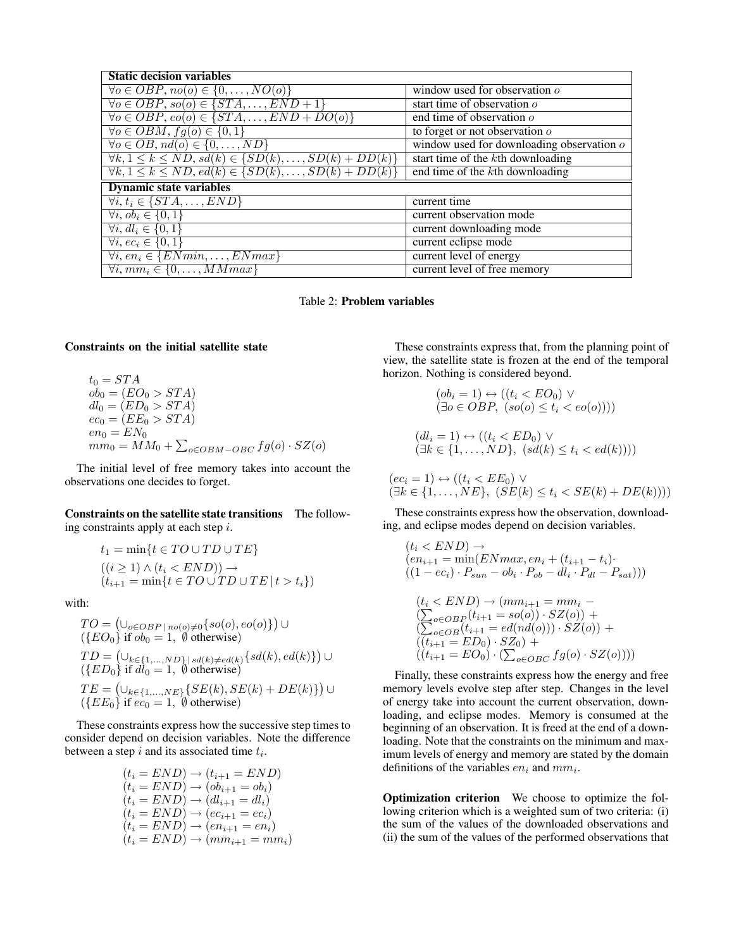| <b>Static decision variables</b>                                           |                                                  |  |
|----------------------------------------------------------------------------|--------------------------------------------------|--|
| $\forall o \in OBP$ , $no(o) \in \{0, \ldots, NO(o)\}\$                    | window used for observation $\rho$               |  |
| $\forall o \in OBP, so(o) \in \{STA, \ldots, END+1\}$                      | start time of observation $\rho$                 |  |
| $\forall o \in OBP, e o(o) \in \{STA, \ldots, END + DO(o)\}$               | end time of observation $\sigma$                 |  |
| $\forall o \in OBM, fg(o) \in \{0,1\}$                                     | to forget or not observation $o$                 |  |
| $\forall o \in OB, nd(o) \in \{0, \ldots, ND\}$                            | window used for downloading observation $\sigma$ |  |
| $\forall k, 1 \leq k \leq ND, sd(k) \in \{SD(k), \ldots, SD(k) + DD(k)\}\$ | start time of the kth downloading                |  |
| $\forall k, 1 \leq k \leq ND, ed(k) \in \{SD(k), \ldots, SD(k) + DD(k)\}\$ | end time of the kth downloading                  |  |
| <b>Dynamic state variables</b>                                             |                                                  |  |
| $\forall i, t_i \in \{STA, \ldots, END\}$                                  | current time                                     |  |
| $\forall i, \overline{ob_i \in \{0,1\}}$                                   | current observation mode                         |  |
| $\forall i, dl_i \in \{0, 1\}$                                             | current downloading mode                         |  |
| $\forall i, ec_i \in \{0,1\}$                                              | current eclipse mode                             |  |
| $\forall i, en_i \in \{ENmin, \ldots, ENmax\}$                             | current level of energy                          |  |
| $\forall i, \, mm_i \in \{0, \ldots, MMmax\}$                              | current level of free memory                     |  |

<span id="page-5-0"></span>Table 2: Problem variables

#### Constraints on the initial satellite state

$$
t_0 = STA
$$
  
\n
$$
ob_0 = (EO_0 > STA)
$$
  
\n
$$
dl_0 = (ED_0 > STA)
$$
  
\n
$$
ec_0 = (EE_0 > STA)
$$
  
\n
$$
en_0 = EN_0
$$
  
\n
$$
mm_0 = MM_0 + \sum_{o \in OBM - OBC} fg(o) \cdot SZ(o)
$$

The initial level of free memory takes into account the observations one decides to forget.

Constraints on the satellite state transitions The following constraints apply at each step  $i$ .

$$
t_1 = \min\{t \in TO \cup TD \cup TE\}
$$
  
\n
$$
((i \ge 1) \land (t_i < END)) \rightarrow
$$
  
\n
$$
(t_{i+1} = \min\{t \in TO \cup TD \cup TE \mid t > t_i\})
$$

with:

$$
TO = (\bigcup_{o \in OBP \mid no(o) \neq 0} \{ so(o), eo(o) \}) \cup (\{EO_0\} \text{ if } ob_0 = 1, \emptyset \text{ otherwise}) TD = (\bigcup_{k \in \{1, ..., ND\} \mid sd(k) \neq ed(k)} \{ sd(k), ed(k)\}) \cup (\{ED_0\} \text{ if } dl_0 = 1, \emptyset \text{ otherwise}) TE = (\bigcup_{k \in \{1, ..., NE\}} \{ SE(k), SE(k) + DE(k) \}) \cup (\{EE_0\} \text{ if } ec_0 = 1, \emptyset \text{ otherwise})
$$

These constraints express how the successive step times to consider depend on decision variables. Note the difference between a step  $i$  and its associated time  $t_i$ .

$$
(t_i = END) \rightarrow (t_{i+1} = END)
$$
  
\n
$$
(t_i = END) \rightarrow (ob_{i+1} = ob_i)
$$
  
\n
$$
(t_i = END) \rightarrow (dl_{i+1} = dl_i)
$$
  
\n
$$
(t_i = END) \rightarrow (ec_{i+1} = ec_i)
$$
  
\n
$$
(t_i = END) \rightarrow (en_{i+1} = en_i)
$$
  
\n
$$
(t_i = END) \rightarrow (mm_{i+1} = mm_i)
$$

These constraints express that, from the planning point of view, the satellite state is frozen at the end of the temporal horizon. Nothing is considered beyond.

$$
(obi = 1) \leftrightarrow ((ti < EO0) \lor (\exists o \in OBP, (so(o) \le ti < eo(o))))(dli = 1) \leftrightarrow ((ti < ED0) \lor (\exists k \in \{1, ..., ND\}, (sd(k) \le ti < ed(k))))
$$

$$
(eci = 1) \leftrightarrow ((ti < EE0) \lor (\exists k \in \{1, ..., NE\}, (SE(k) \le ti < SE(k) + DE(k))))
$$

These constraints express how the observation, downloading, and eclipse modes depend on decision variables.

$$
(t_i < END) \rightarrow
$$
\n
$$
(en_{i+1} = \min(ENmax, en_i + (t_{i+1} - t_i))
$$
\n
$$
((1 - ec_i) \cdot P_{sun} - ob_i \cdot P_{ob} - dl_i \cdot P_{dl} - P_{sat})))
$$
\n
$$
(t_i < END) \rightarrow (mm_{i+1} = mm_i -
$$
\n
$$
(\sum_{o \in OBP_i} (t_{i+1} = so(o)) \cdot SZ(o)) +
$$
\n
$$
(\sum_{o \in OBP_i} (t_{o+1} = os(o(o)) \cdot SZ(o)) +
$$

$$
\begin{array}{l} \left(\sum_{o \in OB} (t_{i+1} = ed(nd(o))) \cdot SZ(o)\right) + \\ \left((t_{i+1} = ED_0) \cdot SZ_0\right) + \\ \left((t_{i+1} = EO_0) \cdot \left(\sum_{o \in OBC} fg(o) \cdot SZ(o)\right)\right)\end{array}
$$

Finally, these constraints express how the energy and free memory levels evolve step after step. Changes in the level of energy take into account the current observation, downloading, and eclipse modes. Memory is consumed at the beginning of an observation. It is freed at the end of a downloading. Note that the constraints on the minimum and maximum levels of energy and memory are stated by the domain definitions of the variables  $en_i$  and  $mm_i$ .

Optimization criterion We choose to optimize the following criterion which is a weighted sum of two criteria: (i) the sum of the values of the downloaded observations and (ii) the sum of the values of the performed observations that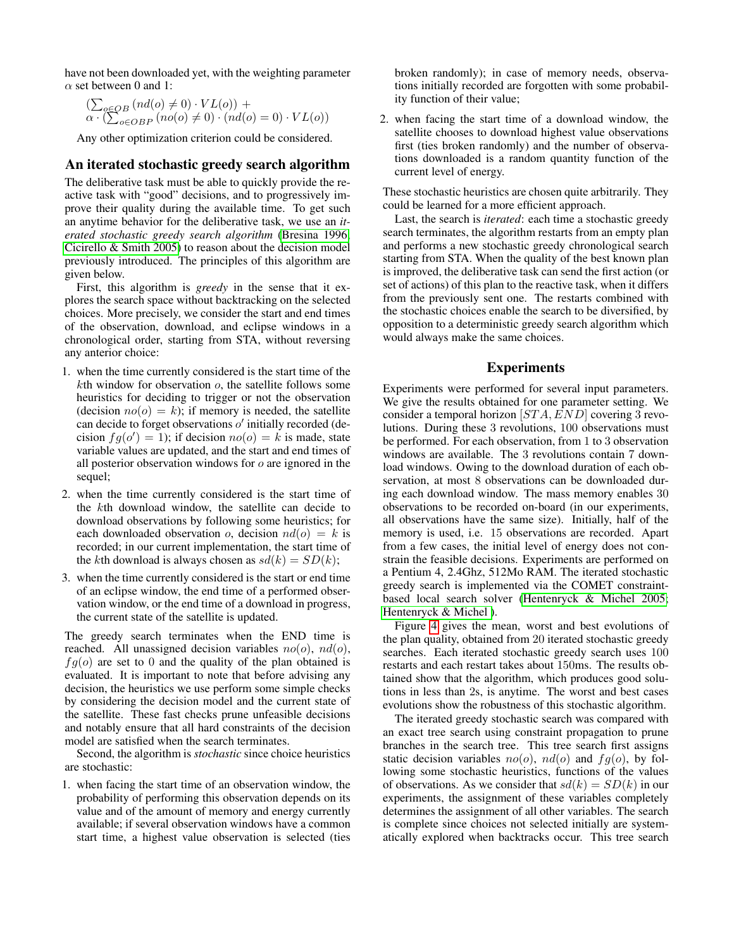have not been downloaded yet, with the weighting parameter  $\alpha$  set between 0 and 1:

$$
\left(\sum_{o \in OB} (nd(o) \neq 0) \cdot VL(o)\right) +
$$
  

$$
\alpha \cdot \left(\sum_{o \in OBP} (no(o) \neq 0) \cdot (nd(o) = 0) \cdot VL(o)\right)
$$

Any other optimization criterion could be considered.

## An iterated stochastic greedy search algorithm

The deliberative task must be able to quickly provide the reactive task with "good" decisions, and to progressively improve their quality during the available time. To get such an anytime behavior for the deliberative task, we use an *iterated stochastic greedy search algorithm* [\(Bresina 1996;](#page-7-4) [Cicirello & Smith 2005\)](#page-7-6) to reason about the decision model previously introduced. The principles of this algorithm are given below.

First, this algorithm is *greedy* in the sense that it explores the search space without backtracking on the selected choices. More precisely, we consider the start and end times of the observation, download, and eclipse windows in a chronological order, starting from STA, without reversing any anterior choice:

- 1. when the time currently considered is the start time of the  $k$ th window for observation  $o$ , the satellite follows some heuristics for deciding to trigger or not the observation (decision  $no(o) = k$ ); if memory is needed, the satellite can decide to forget observations  $o'$  initially recorded (decision  $fg(o') = 1$ ); if decision  $no(o) = k$  is made, state variable values are updated, and the start and end times of all posterior observation windows for o are ignored in the sequel;
- 2. when the time currently considered is the start time of the kth download window, the satellite can decide to download observations by following some heuristics; for each downloaded observation o, decision  $nd(o) = k$  is recorded; in our current implementation, the start time of the kth download is always chosen as  $sd(k) = SD(k)$ ;
- 3. when the time currently considered is the start or end time of an eclipse window, the end time of a performed observation window, or the end time of a download in progress, the current state of the satellite is updated.

The greedy search terminates when the END time is reached. All unassigned decision variables  $no(o)$ ,  $nd(o)$ ,  $fg(o)$  are set to 0 and the quality of the plan obtained is evaluated. It is important to note that before advising any decision, the heuristics we use perform some simple checks by considering the decision model and the current state of the satellite. These fast checks prune unfeasible decisions and notably ensure that all hard constraints of the decision model are satisfied when the search terminates.

Second, the algorithm is *stochastic* since choice heuristics are stochastic:

1. when facing the start time of an observation window, the probability of performing this observation depends on its value and of the amount of memory and energy currently available; if several observation windows have a common start time, a highest value observation is selected (ties

broken randomly); in case of memory needs, observations initially recorded are forgotten with some probability function of their value;

2. when facing the start time of a download window, the satellite chooses to download highest value observations first (ties broken randomly) and the number of observations downloaded is a random quantity function of the current level of energy.

These stochastic heuristics are chosen quite arbitrarily. They could be learned for a more efficient approach.

Last, the search is *iterated*: each time a stochastic greedy search terminates, the algorithm restarts from an empty plan and performs a new stochastic greedy chronological search starting from STA. When the quality of the best known plan is improved, the deliberative task can send the first action (or set of actions) of this plan to the reactive task, when it differs from the previously sent one. The restarts combined with the stochastic choices enable the search to be diversified, by opposition to a deterministic greedy search algorithm which would always make the same choices.

## Experiments

Experiments were performed for several input parameters. We give the results obtained for one parameter setting. We consider a temporal horizon [ST A, END] covering 3 revolutions. During these 3 revolutions, 100 observations must be performed. For each observation, from 1 to 3 observation windows are available. The 3 revolutions contain 7 download windows. Owing to the download duration of each observation, at most 8 observations can be downloaded during each download window. The mass memory enables 30 observations to be recorded on-board (in our experiments, all observations have the same size). Initially, half of the memory is used, i.e. 15 observations are recorded. Apart from a few cases, the initial level of energy does not constrain the feasible decisions. Experiments are performed on a Pentium 4, 2.4Ghz, 512Mo RAM. The iterated stochastic greedy search is implemented via the COMET constraintbased local search solver [\(Hentenryck & Michel 2005;](#page-7-7) [Hentenryck & Michel \)](#page-7-8).

Figure [4](#page-7-9) gives the mean, worst and best evolutions of the plan quality, obtained from 20 iterated stochastic greedy searches. Each iterated stochastic greedy search uses 100 restarts and each restart takes about 150ms. The results obtained show that the algorithm, which produces good solutions in less than 2s, is anytime. The worst and best cases evolutions show the robustness of this stochastic algorithm.

The iterated greedy stochastic search was compared with an exact tree search using constraint propagation to prune branches in the search tree. This tree search first assigns static decision variables  $no(o)$ ,  $nd(o)$  and  $fg(o)$ , by following some stochastic heuristics, functions of the values of observations. As we consider that  $sd(k) = SD(k)$  in our experiments, the assignment of these variables completely determines the assignment of all other variables. The search is complete since choices not selected initially are systematically explored when backtracks occur. This tree search